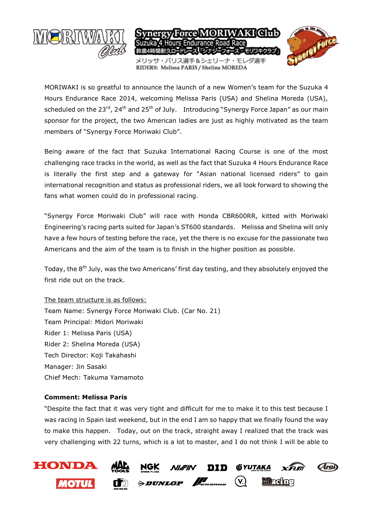

MORIWAKI is so greatful to announce the launch of a new Women's team for the Suzuka 4 Hours Endurance Race 2014, welcoming Melissa Paris (USA) and Shelina Moreda (USA), scheduled on the  $23^{rd}$ ,  $24^{th}$  and  $25^{th}$  of July. Introducing "Synergy Force Japan" as our main sponsor for the project, the two American ladies are just as highly motivated as the team members of "Synergy Force Moriwaki Club".

Being aware of the fact that Suzuka International Racing Course is one of the most challenging race tracks in the world, as well as the fact that Suzuka 4 Hours Endurance Race is literally the first step and a gateway for "Asian national licensed riders" to gain international recognition and status as professional riders, we all look forward to showing the fans what women could do in professional racing.

"Synergy Force Moriwaki Club" will race with Honda CBR600RR, kitted with Moriwaki Engineering's racing parts suited for Japan's ST600 standards. Melissa and Shelina will only have a few hours of testing before the race, yet the there is no excuse for the passionate two Americans and the aim of the team is to finish in the higher position as possible.

Today, the 8<sup>th</sup> July, was the two Americans' first day testing, and they absolutely enjoyed the first ride out on the track.

## The team structure is as follows:

Team Name: Synergy Force Moriwaki Club. (Car No. 21) Team Principal: Midori Moriwaki Rider 1: Melissa Paris (USA) Rider 2: Shelina Moreda (USA) Tech Director: Koji Takahashi Manager: Jin Sasaki Chief Mech: Takuma Yamamoto

## **Comment: Melissa Paris**

"Despite the fact that it was very tight and difficult for me to make it to this test because I was racing in Spain last weekend, but in the end I am so happy that we finally found the way to make this happen. Today, out on the track, straight away I realized that the track was very challenging with 22 turns, which is a lot to master, and I do not think I will be able to

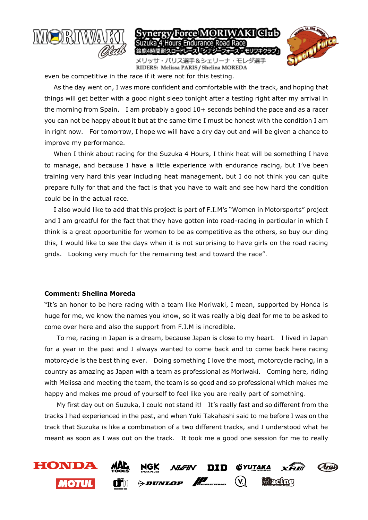

even be competitive in the race if it were not for this testing.

 As the day went on, I was more confident and comfortable with the track, and hoping that things will get better with a good night sleep tonight after a testing right after my arrival in the morning from Spain. I am probably a good 10+ seconds behind the pace and as a racer you can not be happy about it but at the same time I must be honest with the condition I am in right now. For tomorrow, I hope we will have a dry day out and will be given a chance to improve my performance.

 When I think about racing for the Suzuka 4 Hours, I think heat will be something I have to manage, and because I have a little experience with endurance racing, but I've been training very hard this year including heat management, but I do not think you can quite prepare fully for that and the fact is that you have to wait and see how hard the condition could be in the actual race.

 I also would like to add that this project is part of F.I.M's "Women in Motorsports" project and I am greatful for the fact that they have gotten into road-racing in particular in which I think is a great opportunitie for women to be as competitive as the others, so buy our ding this, I would like to see the days when it is not surprising to have girls on the road racing grids. Looking very much for the remaining test and toward the race".

## **Comment: Shelina Moreda**

"It's an honor to be here racing with a team like Moriwaki, I mean, supported by Honda is huge for me, we know the names you know, so it was really a big deal for me to be asked to come over here and also the support from F.I.M is incredible.

 To me, racing in Japan is a dream, because Japan is close to my heart. I lived in Japan for a year in the past and I always wanted to come back and to come back here racing motorcycle is the best thing ever. Doing something I love the most, motorcycle racing, in a country as amazing as Japan with a team as professional as Moriwaki. Coming here, riding with Melissa and meeting the team, the team is so good and so professional which makes me happy and makes me proud of yourself to feel like you are really part of something.

 My first day out on Suzuka, I could not stand it! It's really fast and so different from the tracks I had experienced in the past, and when Yuki Takahashi said to me before I was on the track that Suzuka is like a combination of a two different tracks, and I understood what he meant as soon as I was out on the track. It took me a good one session for me to really